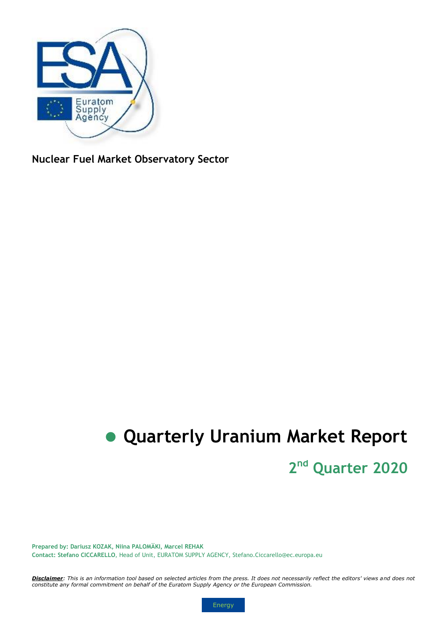

**Nuclear Fuel Market Observatory Sector**

# **Quarterly Uranium Market Report**

## **2 nd Quarter 2020**

**Prepared by: Dariusz KOZAK, Niina PALOMÄKI, Marcel REHAK Contact: Stefano CICCARELLO**, Head of Unit, EURATOM SUPPLY AGENCY, Stefano.Ciccarello@ec.europa.eu

*Disclaimer: This is an information tool based on selected articles from the press. It does not necessarily reflect the editors' views and does not constitute any formal commitment on behalf of the Euratom Supply Agency or the European Commission.* 

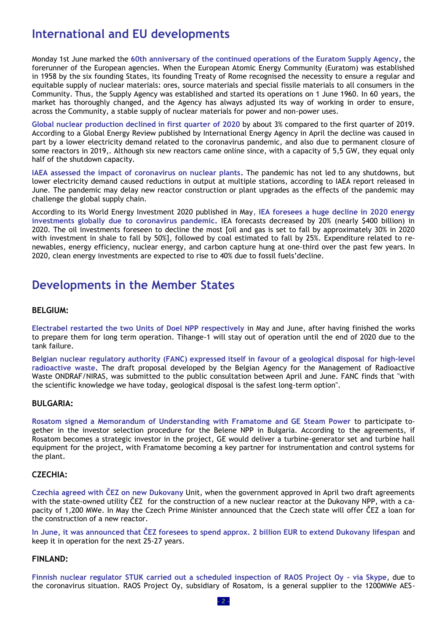### **International and EU developments**

Monday 1st June marked the **60th anniversary of the continued operations of the Euratom Supply Agency,** the forerunner of the European agencies. When the European Atomic Energy Community (Euratom) was established in 1958 by the six founding States, its founding Treaty of Rome recognised the necessity to ensure a regular and equitable supply of nuclear materials: ores, source materials and special fissile materials to all consumers in the Community. Thus, the Supply Agency was established and started its operations on 1 June 1960. In 60 years, the market has thoroughly changed, and the Agency has always adjusted its way of working in order to ensure, across the Community, a stable supply of nuclear materials for power and non-power uses.

**Global nuclear production declined in first quarter of 2020** by about 3% compared to the first quarter of 2019. According to a Global Energy Review published by International Energy Agency in April the decline was caused in part by a lower electricity demand related to the coronavirus pandemic, and also due to permanent closure of some reactors in 2019,. Although six new reactors came online since, with a capacity of 5,5 GW, they equal only half of the shutdown capacity.

**IAEA assessed the impact of coronavirus on nuclear plants.** The pandemic has not led to any shutdowns, but lower electricity demand caused reductions in output at multiple stations, according to IAEA report released in June. The pandemic may delay new reactor construction or plant upgrades as the effects of the pandemic may challenge the global supply chain.

According to its World Energy Investment 2020 published in May, **IEA foresees a huge decline in 2020 energy investments globally due to coronavirus pandemic.** IEA forecasts decreased by 20% (nearly \$400 billion) in 2020. The oil investments foreseen to decline the most [oil and gas is set to fall by approximately 30% in 2020 with investment in shale to fall by 50%], followed by coal estimated to fall by 25%. Expenditure related to renewables, energy efficiency, nuclear energy, and carbon capture hung at one-third over the past few years. In 2020, clean energy investments are expected to rise to 40% due to fossil fuels'decline.

### **Developments in the Member States**

#### **BELGIUM:**

**Electrabel restarted the two Units of Doel NPP respectively** in May and June, after having finished the works to prepare them for long term operation. Tihange-1 will stay out of operation until the end of 2020 due to the tank failure.

**Belgian nuclear regulatory authority (FANC) expressed itself in favour of a geological disposal for high-level radioactive waste.** The draft proposal developed by the Belgian Agency for the Management of Radioactive Waste ONDRAF/NIRAS, was submitted to the public consultation between April and June. FANC finds that "with the scientific knowledge we have today, geological disposal is the safest long-term option".

#### **BULGARIA:**

**Rosatom signed a Memorandum of Understanding with Framatome and GE Steam Power** to participate together in the investor selection procedure for the Belene NPP in Bulgaria. According to the agreements, if Rosatom becomes a strategic investor in the project, GE would deliver a turbine-generator set and turbine hall equipment for the project, with Framatome becoming a key partner for instrumentation and control systems for the plant.

#### **CZECHIA:**

**Czechia agreed with ČEZ on new Dukovany** Unit, when the government approved in April two draft agreements with the state-owned utility ČEZ for the construction of a new nuclear reactor at the Dukovany NPP, with a capacity of 1,200 MWe. In May the Czech Prime Minister announced that the Czech state will offer ČEZ a loan for the construction of a new reactor.

**In June, it was announced that ČEZ foresees to spend approx. 2 billion EUR to extend Dukovany lifespan** and keep it in operation for the next 25-27 years.

#### **FINLAND:**

**Finnish nuclear regulator STUK carried out a scheduled inspection of RAOS Project Oy – via Skype**, due to the coronavirus situation. RAOS Project Oy, subsidiary of Rosatom, is a general supplier to the 1200MWe AES-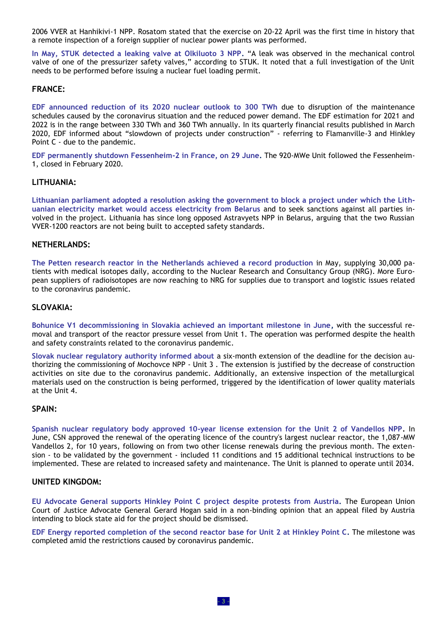2006 VVER at Hanhikivi-1 NPP. Rosatom stated that the exercise on 20-22 April was the first time in history that a remote inspection of a foreign supplier of nuclear power plants was performed.

**In May, STUK detected a leaking valve at Olkiluoto 3 NPP.** "A leak was observed in the mechanical control valve of one of the pressurizer safety valves," according to STUK. It noted that a full investigation of the Unit needs to be performed before issuing a nuclear fuel loading permit.

#### **FRANCE:**

**EDF announced reduction of its 2020 nuclear outlook to 300 TWh** due to disruption of the maintenance schedules caused by the coronavirus situation and the reduced power demand. The EDF estimation for 2021 and 2022 is in the range between 330 TWh and 360 TWh annually. In its quarterly financial results published in March 2020, EDF informed about "slowdown of projects under construction" - referring to Flamanville-3 and Hinkley Point C - due to the pandemic.

**EDF permanently shutdown Fessenheim-2 in France, on 29 June.** The 920-MWe Unit followed the Fessenheim-1, closed in February 2020.

#### **LITHUANIA:**

**Lithuanian parliament adopted a resolution asking the government to block a project under which the Lithuanian electricity market would access electricity from Belarus** and to seek sanctions against all parties involved in the project. Lithuania has since long opposed Astravyets NPP in Belarus, arguing that the two Russian VVER-1200 reactors are not being built to accepted safety standards.

#### **NETHERLANDS:**

**The Petten research reactor in the Netherlands achieved a record production** in May, supplying 30,000 patients with medical isotopes daily, according to the Nuclear Research and Consultancy Group (NRG). More European suppliers of radioisotopes are now reaching to NRG for supplies due to transport and logistic issues related to the coronavirus pandemic.

#### **SLOVAKIA:**

**Bohunice V1 decommissioning in Slovakia achieved an important milestone in June,** with the successful removal and transport of the reactor pressure vessel from Unit 1. The operation was performed despite the health and safety constraints related to the coronavirus pandemic.

**Slovak nuclear regulatory authority informed about** a six-month extension of the deadline for the decision authorizing the commissioning of Mochovce NPP - Unit 3 . The extension is justified by the decrease of construction activities on site due to the coronavirus pandemic. Additionally, an extensive inspection of the metallurgical materials used on the construction is being performed, triggered by the identification of lower quality materials at the Unit 4.

#### **SPAIN:**

**Spanish nuclear regulatory body approved 10-year license extension for the Unit 2 of Vandellos NPP.** In June, CSN approved the renewal of the operating licence of the country's largest nuclear reactor, the 1,087-MW Vandellos 2, for 10 years, following on from two other license renewals during the previous month. The extension - to be validated by the government - included 11 conditions and 15 additional technical instructions to be implemented. These are related to increased safety and maintenance. The Unit is planned to operate until 2034.

#### **UNITED KINGDOM:**

**EU Advocate General supports Hinkley Point C project despite protests from Austria.** The European Union Court of Justice Advocate General Gerard Hogan said in a non-binding opinion that an appeal filed by Austria intending to block state aid for the project should be dismissed.

**EDF Energy reported completion of the second reactor base for Unit 2 at Hinkley Point C.** The milestone was completed amid the restrictions caused by coronavirus pandemic.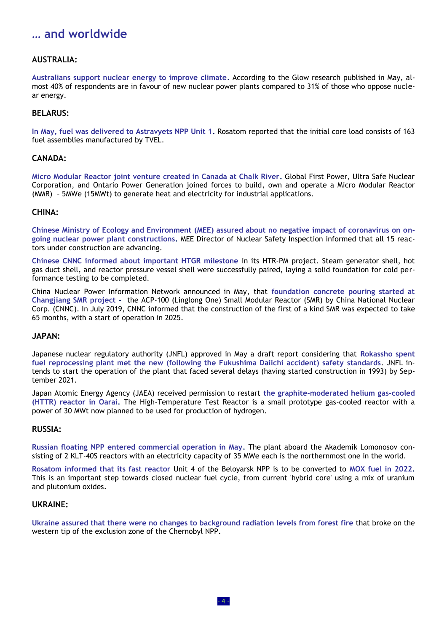### **… and worldwide**

#### **AUSTRALIA:**

**Australians support nuclear energy to improve climate**. According to the Glow research published in May, almost 40% of respondents are in favour of new nuclear power plants compared to 31% of those who oppose nuclear energy.

#### **BELARUS:**

**In May, fuel was delivered to Astravyets NPP Unit 1.** Rosatom reported that the initial core load consists of 163 fuel assemblies manufactured by TVEL.

#### **CANADA:**

**Micro Modular Reactor joint venture created in Canada at Chalk River.** Global First Power, Ultra Safe Nuclear Corporation, and Ontario Power Generation joined forces to build, own and operate a Micro Modular Reactor (MMR) – 5MWe (15MWt) to generate heat and electricity for industrial applications.

#### **CHINA:**

**Chinese Ministry of Ecology and Environment (MEE) assured about no negative impact of coronavirus on ongoing nuclear power plant constructions.** MEE Director of Nuclear Safety Inspection informed that all 15 reactors under construction are advancing.

**Chinese CNNC informed about important HTGR milestone** in its HTR-PM project. Steam generator shell, hot gas duct shell, and reactor pressure vessel shell were successfully paired, laying a solid foundation for cold performance testing to be completed.

China Nuclear Power Information Network announced in May, that **foundation concrete pouring started at Changjiang SMR project -** the ACP-100 (Linglong One) Small Modular Reactor (SMR) by China National Nuclear Corp. (CNNC). In July 2019, CNNC informed that the construction of the first of a kind SMR was expected to take 65 months, with a start of operation in 2025.

#### **JAPAN:**

Japanese nuclear regulatory authority (JNFL) approved in May a draft report considering that **Rokassho spent fuel reprocessing plant met the new (following the Fukushima Daiichi accident) safety standards**. JNFL intends to start the operation of the plant that faced several delays (having started construction in 1993) by September 2021.

Japan Atomic Energy Agency (JAEA) received permission to restart **the graphite-moderated helium gas-cooled (HTTR) reactor in Oarai.** The High-Temperature Test Reactor is a small prototype gas-cooled reactor with a power of 30 MWt now planned to be used for production of hydrogen.

#### **RUSSIA:**

**Russian floating NPP entered commercial operation in May.** The plant aboard the Akademik Lomonosov consisting of 2 KLT-40S reactors with an electricity capacity of 35 MWe each is the northernmost one in the world.

**Rosatom informed that its fast reactor** Unit 4 of the Beloyarsk NPP is to be converted to **MOX fuel in 2022.** This is an important step towards closed nuclear fuel cycle, from current 'hybrid core' using a mix of uranium and plutonium oxides.

#### **UKRAINE:**

**Ukraine assured that there were no changes to background radiation levels from forest fire** that broke on the western tip of the exclusion zone of the Chernobyl NPP.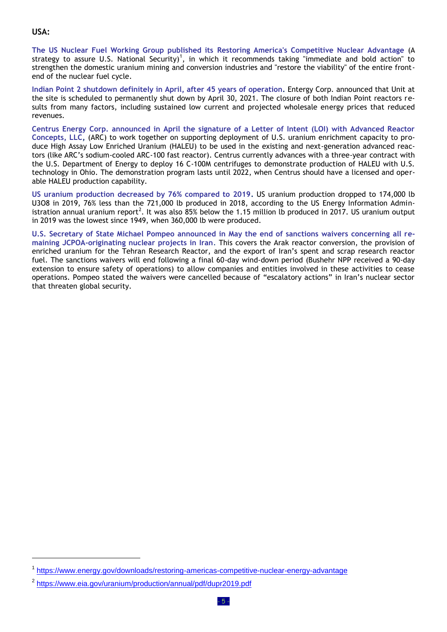$\overline{a}$ 

**The US Nuclear Fuel Working Group published its [Restoring America's Competitive Nuclear Advantage](https://urldefense.com/v3/__http:/WNA.informz.ca/z/cjUucD9taT0xMTkyMzc0JnA9MSZ1PTkxMjkwODkxMSZsaT0xODgxNzczMg/index.html__;!!DOxrgLBm!SbG_o8kZODK5wqVP50O5BAP3HZfKZddB1_QzYu9phe1_vSxgB9tBt0zPPCs-oc_5QYv6rb1m$)** (A strategy to assure U.S. National Security)<sup>1</sup>, in which it recommends taking "immediate and bold action" to strengthen the domestic uranium mining and conversion industries and "restore the viability" of the entire frontend of the nuclear fuel cycle.

**Indian Point 2 shutdown definitely in April, after 45 years of operation.** Entergy Corp. announced that Unit at the site is scheduled to permanently shut down by April 30, 2021. The closure of both Indian Point reactors results from many factors, including sustained low current and projected wholesale energy prices that reduced revenues.

**Centrus Energy Corp. announced in April the signature of a Letter of Intent (LOI) with Advanced Reactor Concepts, LLC,** (ARC) to work together on supporting deployment of U.S. uranium enrichment capacity to produce High Assay Low Enriched Uranium (HALEU) to be used in the existing and next-generation advanced reactors (like ARC's sodium-cooled ARC-100 fast reactor). Centrus currently advances with a three-year contract with the U.S. Department of Energy to deploy 16 C-100M centrifuges to demonstrate production of HALEU with U.S. technology in Ohio. The demonstration program lasts until 2022, when Centrus should have a licensed and operable HALEU production capability.

**US uranium production decreased by 76% compared to 2019.** US uranium production dropped to 174,000 lb U3O8 in 2019, 76% less than the 721,000 lb produced in 2018, according to the US Energy Information Administration annual uranium report<sup>2</sup>. It was also 85% below the 1.15 million lb produced in 2017. US uranium output in 2019 was the lowest since 1949, when 360,000 lb were produced.

**U.S. Secretary of State Michael Pompeo announced in May the end of sanctions waivers concerning all remaining JCPOA-originating nuclear projects in Iran**. This covers the Arak reactor conversion, the provision of enriched uranium for the Tehran Research Reactor, and the export of Iran's spent and scrap research reactor fuel. The sanctions waivers will end following a final 60-day wind-down period (Bushehr NPP received a 90-day extension to ensure safety of operations) to allow companies and entities involved in these activities to cease operations. Pompeo stated the waivers were cancelled because of "escalatory actions" in Iran's nuclear sector that threaten global security.

<sup>1</sup> <https://www.energy.gov/downloads/restoring-americas-competitive-nuclear-energy-advantage>

<sup>&</sup>lt;sup>2</sup> <https://www.eia.gov/uranium/production/annual/pdf/dupr2019.pdf>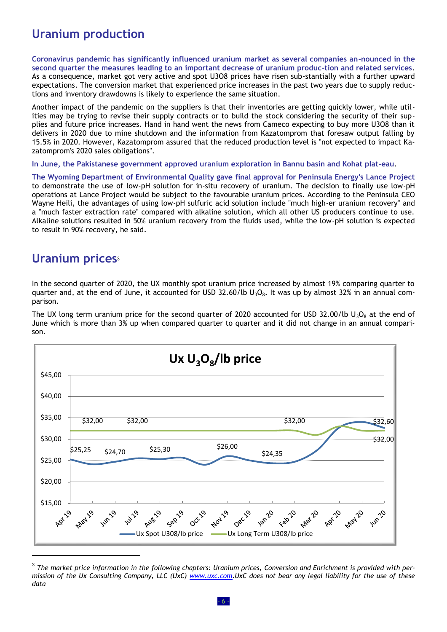### **Uranium production**

**Coronavirus pandemic has significantly influenced uranium market as several companies an-nounced in the second quarter the measures leading to an important decrease of uranium produc-tion and related services**.

As a consequence, market got very active and spot U3O8 prices have risen sub-stantially with a further upward expectations. The conversion market that experienced price increases in the past two years due to supply reductions and inventory drawdowns is likely to experience the same situation.

Another impact of the pandemic on the suppliers is that their inventories are getting quickly lower, while utilities may be trying to revise their supply contracts or to build the stock considering the security of their supplies and future price increases. Hand in hand went the news from Cameco expecting to buy more U3O8 than it delivers in 2020 due to mine shutdown and the information from Kazatomprom that foresaw output falling by 15.5% in 2020. However, Kazatomprom assured that the reduced production level is "not expected to impact Kazatomprom's 2020 sales obligations".

**In June, the Pakistanese government approved uranium exploration in Bannu basin and Kohat plat-eau**.

**The Wyoming Department of Environmental Quality gave final approval for Peninsula Energy's Lance Project** to demonstrate the use of low-pH solution for in-situ recovery of uranium. The decision to finally use low-pH operations at Lance Project would be subject to the favourable uranium prices. According to the Peninsula CEO Wayne Heili, the advantages of using low-pH sulfuric acid solution include "much high-er uranium recovery" and a "much faster extraction rate" compared with alkaline solution, which all other US producers continue to use. Alkaline solutions resulted in 50% uranium recovery from the fluids used, while the low-pH solution is expected to result in 90% recovery, he said.

### **Uranium prices**<sup>3</sup>

In the second quarter of 2020, the UX monthly spot uranium price increased by almost 19% comparing quarter to quarter and, at the end of June, it accounted for USD 32.60/lb U<sub>3</sub>O<sub>8</sub>. It was up by almost 32% in an annual comparison.

The UX long term uranium price for the second quarter of 2020 accounted for USD 32.00/lb U<sub>3</sub>O<sub>8</sub> at the end of June which is more than 3% up when compared quarter to quarter and it did not change in an annual comparison.



<sup>3</sup> *The market price information in the following chapters: Uranium prices, Conversion and Enrichment is provided with permission of the Ux Consulting Company, LLC (UxC) [www.uxc.com.](http://www.uxc.com/)UxC does not bear any legal liability for the use of these data*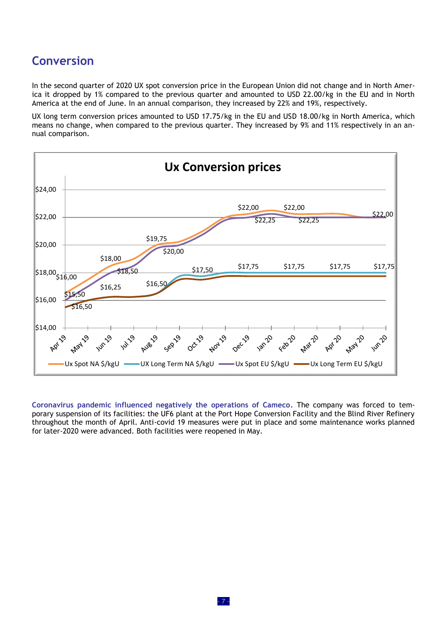### **Conversion**

In the second quarter of 2020 UX spot conversion price in the European Union did not change and in North America it dropped by 1% compared to the previous quarter and amounted to USD 22.00/kg in the EU and in North America at the end of June. In an annual comparison, they increased by 22% and 19%, respectively.

UX long term conversion prices amounted to USD 17.75/kg in the EU and USD 18.00/kg in North America, which means no change, when compared to the previous quarter. They increased by 9% and 11% respectively in an annual comparison.



**Coronavirus pandemic influenced negatively the operations of Cameco**. The company was forced to temporary suspension of its facilities: the UF6 plant at the Port Hope Conversion Facility and the Blind River Refinery throughout the month of April. Anti-covid 19 measures were put in place and some maintenance works planned for later-2020 were advanced. Both facilities were reopened in May.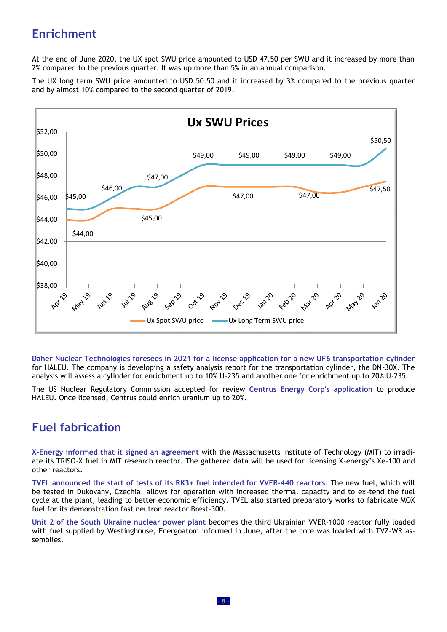### **Enrichment**

At the end of June 2020, the UX spot SWU price amounted to USD 47.50 per SWU and it increased by more than 2% compared to the previous quarter. It was up more than 5% in an annual comparison.

The UX long term SWU price amounted to USD 50.50 and it increased by 3% compared to the previous quarter and by almost 10% compared to the second quarter of 2019.



**Daher Nuclear Technologies foresees in 2021 for a license application for a new UF6 transportation cylinder** for HALEU. The company is developing a safety analysis report for the transportation cylinder, the DN-30X. The analysis will assess a cylinder for enrichment up to 10% U-235 and another one for enrichment up to 20% U-235.

The US Nuclear Regulatory Commission accepted for review **Centrus Energy Corp's application** to produce HALEU. Once licensed, Centrus could enrich uranium up to 20%.

### **Fuel fabrication**

**X-Energy informed that it signed an agreement** with the Massachusetts Institute of Technology (MIT) to irradiate its TRISO-X fuel in MIT research reactor. The gathered data will be used for licensing X-energy's Xe-100 and other reactors.

**TVEL announced the start of tests of its RK3+ fuel intended for VVER-440 reactors**. The new fuel, which will be tested in Dukovany, Czechia, allows for operation with increased thermal capacity and to ex-tend the fuel cycle at the plant, leading to better economic efficiency. TVEL also started preparatory works to fabricate MOX fuel for its demonstration fast neutron reactor Brest-300.

**Unit 2 of the South Ukraine nuclear power plant** becomes the third Ukrainian VVER-1000 reactor fully loaded with fuel supplied by Westinghouse, Energoatom informed in June, after the core was loaded with TVZ-WR assemblies.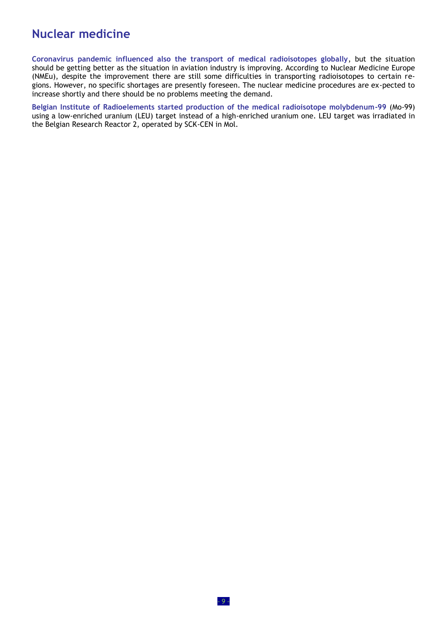### **Nuclear medicine**

**Coronavirus pandemic influenced also the transport of medical radioisotopes globally**, but the situation should be getting better as the situation in aviation industry is improving. According to Nuclear Medicine Europe (NMEu), despite the improvement there are still some difficulties in transporting radioisotopes to certain regions. However, no specific shortages are presently foreseen. The nuclear medicine procedures are ex-pected to increase shortly and there should be no problems meeting the demand.

**Belgian Institute of Radioelements started production of the medical radioisotope molybdenum-99** (Mo-99) using a low-enriched uranium (LEU) target instead of a high-enriched uranium one. LEU target was irradiated in the Belgian Research Reactor 2, operated by SCK-CEN in Mol.